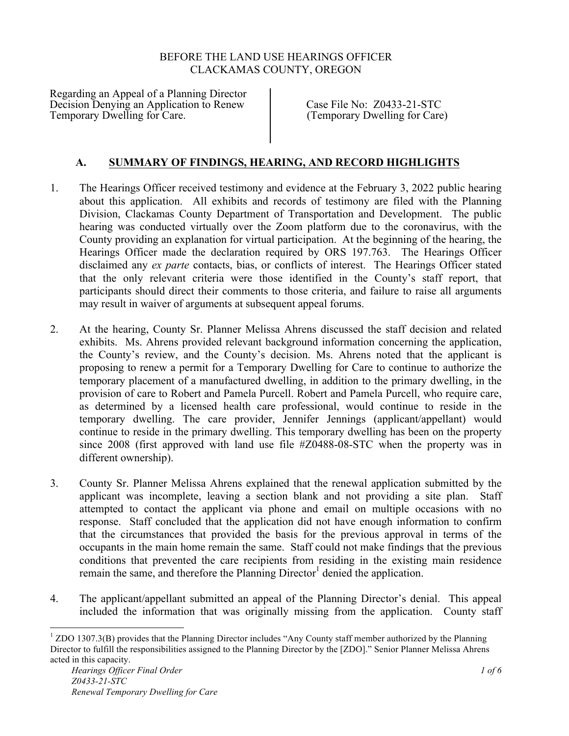## BEFORE THE LAND USE HEARINGS OFFICER CLACKAMAS COUNTY, OREGON

Regarding an Appeal of a Planning Director Decision Denying an Application to Renew Case File No: Z0433-21-STC<br>Temporary Dwelling for Care. (Temporary Dwelling for Care

(Temporary Dwelling for Care)

# **A. SUMMARY OF FINDINGS, HEARING, AND RECORD HIGHLIGHTS**

- 1. The Hearings Officer received testimony and evidence at the February 3, 2022 public hearing about this application. All exhibits and records of testimony are filed with the Planning Division, Clackamas County Department of Transportation and Development. The public hearing was conducted virtually over the Zoom platform due to the coronavirus, with the County providing an explanation for virtual participation. At the beginning of the hearing, the Hearings Officer made the declaration required by ORS 197.763. The Hearings Officer disclaimed any *ex parte* contacts, bias, or conflicts of interest. The Hearings Officer stated that the only relevant criteria were those identified in the County's staff report, that participants should direct their comments to those criteria, and failure to raise all arguments may result in waiver of arguments at subsequent appeal forums.
- 2. At the hearing, County Sr. Planner Melissa Ahrens discussed the staff decision and related exhibits. Ms. Ahrens provided relevant background information concerning the application, the County's review, and the County's decision. Ms. Ahrens noted that the applicant is proposing to renew a permit for a Temporary Dwelling for Care to continue to authorize the temporary placement of a manufactured dwelling, in addition to the primary dwelling, in the provision of care to Robert and Pamela Purcell. Robert and Pamela Purcell, who require care, as determined by a licensed health care professional, would continue to reside in the temporary dwelling. The care provider, Jennifer Jennings (applicant/appellant) would continue to reside in the primary dwelling. This temporary dwelling has been on the property since 2008 (first approved with land use file #Z0488-08-STC when the property was in different ownership).
- 3. County Sr. Planner Melissa Ahrens explained that the renewal application submitted by the applicant was incomplete, leaving a section blank and not providing a site plan. Staff attempted to contact the applicant via phone and email on multiple occasions with no response. Staff concluded that the application did not have enough information to confirm that the circumstances that provided the basis for the previous approval in terms of the occupants in the main home remain the same. Staff could not make findings that the previous conditions that prevented the care recipients from residing in the existing main residence remain the same, and therefore the Planning Director<sup>1</sup> denied the application.
- 4. The applicant/appellant submitted an appeal of the Planning Director's denial. This appeal included the information that was originally missing from the application. County staff

 $1$  ZDO 1307.3(B) provides that the Planning Director includes "Any County staff member authorized by the Planning Director to fulfill the responsibilities assigned to the Planning Director by the [ZDO]." Senior Planner Melissa Ahrens acted in this capacity.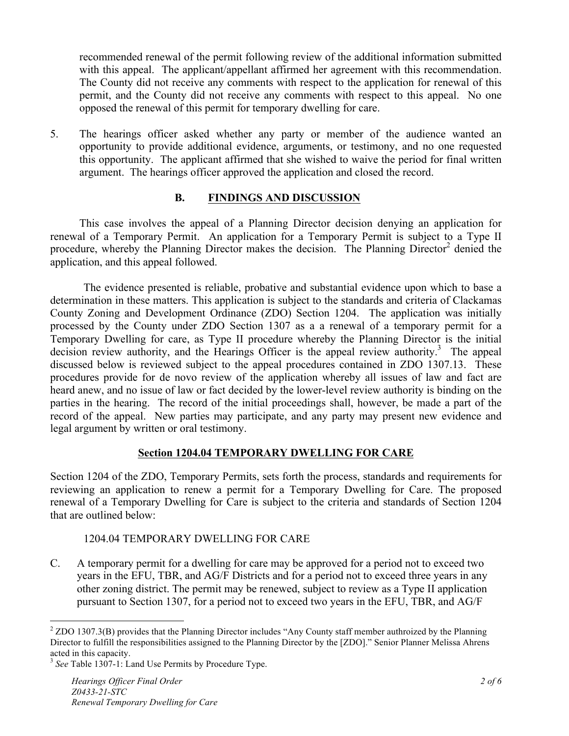recommended renewal of the permit following review of the additional information submitted with this appeal. The applicant/appellant affirmed her agreement with this recommendation. The County did not receive any comments with respect to the application for renewal of this permit, and the County did not receive any comments with respect to this appeal. No one opposed the renewal of this permit for temporary dwelling for care.

5. The hearings officer asked whether any party or member of the audience wanted an opportunity to provide additional evidence, arguments, or testimony, and no one requested this opportunity. The applicant affirmed that she wished to waive the period for final written argument. The hearings officer approved the application and closed the record.

### **B. FINDINGS AND DISCUSSION**

This case involves the appeal of a Planning Director decision denying an application for renewal of a Temporary Permit. An application for a Temporary Permit is subject to a Type II procedure, whereby the Planning Director makes the decision. The Planning Director<sup>2</sup> denied the application, and this appeal followed.

The evidence presented is reliable, probative and substantial evidence upon which to base a determination in these matters. This application is subject to the standards and criteria of Clackamas County Zoning and Development Ordinance (ZDO) Section 1204. The application was initially processed by the County under ZDO Section 1307 as a a renewal of a temporary permit for a Temporary Dwelling for care, as Type II procedure whereby the Planning Director is the initial decision review authority, and the Hearings Officer is the appeal review authority.<sup>3</sup> The appeal discussed below is reviewed subject to the appeal procedures contained in ZDO 1307.13. These procedures provide for de novo review of the application whereby all issues of law and fact are heard anew, and no issue of law or fact decided by the lower-level review authority is binding on the parties in the hearing. The record of the initial proceedings shall, however, be made a part of the record of the appeal. New parties may participate, and any party may present new evidence and legal argument by written or oral testimony.

# **Section 1204.04 TEMPORARY DWELLING FOR CARE**

Section 1204 of the ZDO, Temporary Permits, sets forth the process, standards and requirements for reviewing an application to renew a permit for a Temporary Dwelling for Care. The proposed renewal of a Temporary Dwelling for Care is subject to the criteria and standards of Section 1204 that are outlined below:

### 1204.04 TEMPORARY DWELLING FOR CARE

C. A temporary permit for a dwelling for care may be approved for a period not to exceed two years in the EFU, TBR, and AG/F Districts and for a period not to exceed three years in any other zoning district. The permit may be renewed, subject to review as a Type II application pursuant to Section 1307, for a period not to exceed two years in the EFU, TBR, and AG/F

<sup>&</sup>lt;sup>2</sup> ZDO 1307.3(B) provides that the Planning Director includes "Any County staff member authroized by the Planning Director to fulfill the responsibilities assigned to the Planning Director by the [ZDO]." Senior Planner Melissa Ahrens acted in this capacity.

<sup>&</sup>lt;sup>3</sup> See Table 1307-1: Land Use Permits by Procedure Type.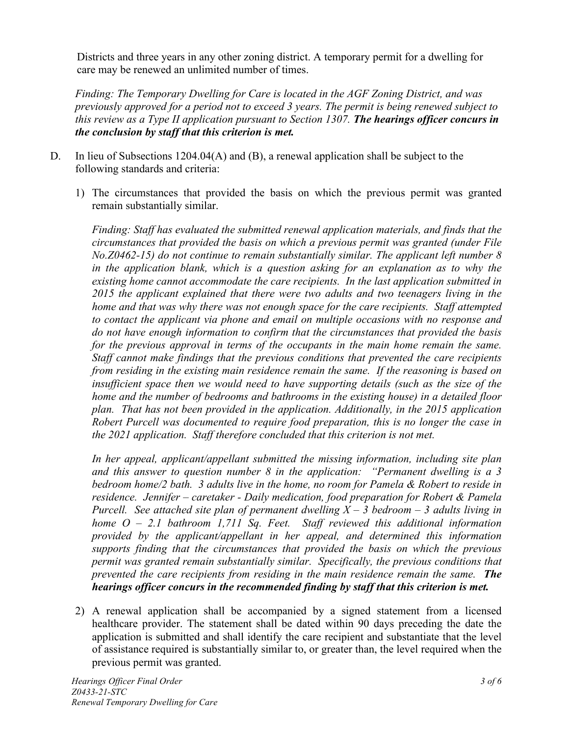Districts and three years in any other zoning district. A temporary permit for a dwelling for care may be renewed an unlimited number of times.

*Finding: The Temporary Dwelling for Care is located in the AGF Zoning District, and was previously approved for a period not to exceed 3 years. The permit is being renewed subject to this review as a Type II application pursuant to Section 1307. The hearings officer concurs in the conclusion by staff that this criterion is met.*

- D. In lieu of Subsections 1204.04(A) and (B), a renewal application shall be subject to the following standards and criteria:
	- 1) The circumstances that provided the basis on which the previous permit was granted remain substantially similar.

*Finding: Staff has evaluated the submitted renewal application materials, and finds that the circumstances that provided the basis on which a previous permit was granted (under File No.Z0462-15) do not continue to remain substantially similar. The applicant left number 8*  in the application blank, which is a question asking for an explanation as to why the *existing home cannot accommodate the care recipients. In the last application submitted in 2015 the applicant explained that there were two adults and two teenagers living in the home and that was why there was not enough space for the care recipients. Staff attempted to contact the applicant via phone and email on multiple occasions with no response and do not have enough information to confirm that the circumstances that provided the basis*  for the previous approval in terms of the occupants in the main home remain the same. *Staff cannot make findings that the previous conditions that prevented the care recipients from residing in the existing main residence remain the same. If the reasoning is based on insufficient space then we would need to have supporting details (such as the size of the home and the number of bedrooms and bathrooms in the existing house) in a detailed floor plan. That has not been provided in the application. Additionally, in the 2015 application Robert Purcell was documented to require food preparation, this is no longer the case in the 2021 application. Staff therefore concluded that this criterion is not met.*

*In her appeal, applicant/appellant submitted the missing information, including site plan and this answer to question number 8 in the application: "Permanent dwelling is a 3 bedroom home/2 bath. 3 adults live in the home, no room for Pamela & Robert to reside in residence. Jennifer – caretaker - Daily medication, food preparation for Robert & Pamela Purcell. See attached site plan of permanent dwelling X – 3 bedroom – 3 adults living in home O – 2.1 bathroom 1,711 Sq. Feet. Staff reviewed this additional information provided by the applicant/appellant in her appeal, and determined this information supports finding that the circumstances that provided the basis on which the previous permit was granted remain substantially similar. Specifically, the previous conditions that prevented the care recipients from residing in the main residence remain the same. The hearings officer concurs in the recommended finding by staff that this criterion is met.*

2) A renewal application shall be accompanied by a signed statement from a licensed healthcare provider. The statement shall be dated within 90 days preceding the date the application is submitted and shall identify the care recipient and substantiate that the level of assistance required is substantially similar to, or greater than, the level required when the previous permit was granted.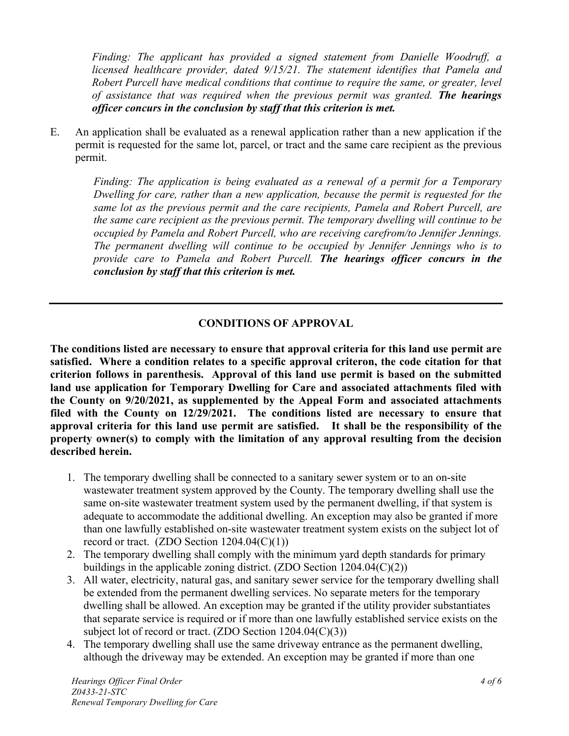*Finding: The applicant has provided a signed statement from Danielle Woodruff, a licensed healthcare provider, dated 9/15/21. The statement identifies that Pamela and Robert Purcell have medical conditions that continue to require the same, or greater, level of assistance that was required when the previous permit was granted. The hearings officer concurs in the conclusion by staff that this criterion is met.*

E. An application shall be evaluated as a renewal application rather than a new application if the permit is requested for the same lot, parcel, or tract and the same care recipient as the previous permit.

*Finding: The application is being evaluated as a renewal of a permit for a Temporary Dwelling for care, rather than a new application, because the permit is requested for the same lot as the previous permit and the care recipients, Pamela and Robert Purcell, are the same care recipient as the previous permit. The temporary dwelling will continue to be occupied by Pamela and Robert Purcell, who are receiving carefrom/to Jennifer Jennings. The permanent dwelling will continue to be occupied by Jennifer Jennings who is to provide care to Pamela and Robert Purcell. The hearings officer concurs in the conclusion by staff that this criterion is met.*

# **CONDITIONS OF APPROVAL**

**The conditions listed are necessary to ensure that approval criteria for this land use permit are satisfied. Where a condition relates to a specific approval criteron, the code citation for that criterion follows in parenthesis. Approval of this land use permit is based on the submitted land use application for Temporary Dwelling for Care and associated attachments filed with the County on 9/20/2021, as supplemented by the Appeal Form and associated attachments filed with the County on 12/29/2021. The conditions listed are necessary to ensure that approval criteria for this land use permit are satisfied. It shall be the responsibility of the property owner(s) to comply with the limitation of any approval resulting from the decision described herein.**

- 1. The temporary dwelling shall be connected to a sanitary sewer system or to an on-site wastewater treatment system approved by the County. The temporary dwelling shall use the same on-site wastewater treatment system used by the permanent dwelling, if that system is adequate to accommodate the additional dwelling. An exception may also be granted if more than one lawfully established on-site wastewater treatment system exists on the subject lot of record or tract.  $(ZDO Section 1204.04(C)(1))$
- 2. The temporary dwelling shall comply with the minimum yard depth standards for primary buildings in the applicable zoning district. (ZDO Section 1204.04(C)(2))
- 3. All water, electricity, natural gas, and sanitary sewer service for the temporary dwelling shall be extended from the permanent dwelling services. No separate meters for the temporary dwelling shall be allowed. An exception may be granted if the utility provider substantiates that separate service is required or if more than one lawfully established service exists on the subject lot of record or tract. (ZDO Section  $1204.04(C)(3)$ )
- 4. The temporary dwelling shall use the same driveway entrance as the permanent dwelling, although the driveway may be extended. An exception may be granted if more than one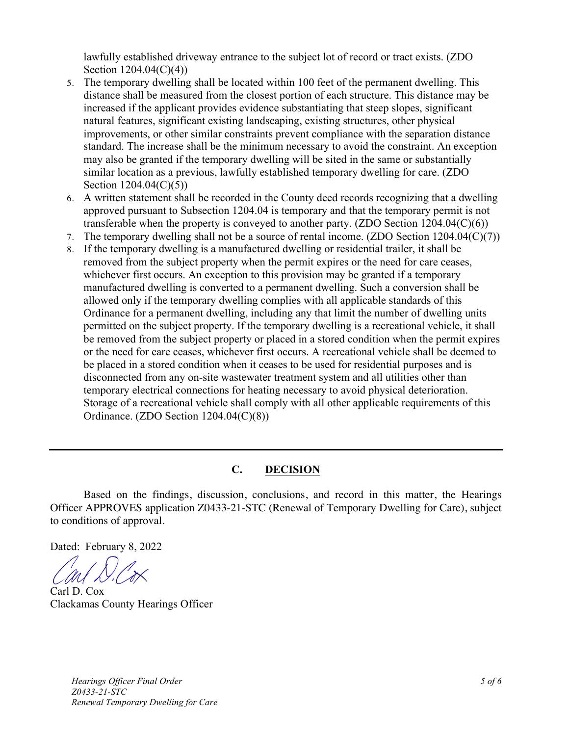lawfully established driveway entrance to the subject lot of record or tract exists. (ZDO Section 1204.04(C)(4))

- 5. The temporary dwelling shall be located within 100 feet of the permanent dwelling. This distance shall be measured from the closest portion of each structure. This distance may be increased if the applicant provides evidence substantiating that steep slopes, significant natural features, significant existing landscaping, existing structures, other physical improvements, or other similar constraints prevent compliance with the separation distance standard. The increase shall be the minimum necessary to avoid the constraint. An exception may also be granted if the temporary dwelling will be sited in the same or substantially similar location as a previous, lawfully established temporary dwelling for care. (ZDO Section 1204.04(C)(5))
- 6. A written statement shall be recorded in the County deed records recognizing that a dwelling approved pursuant to Subsection 1204.04 is temporary and that the temporary permit is not transferable when the property is conveyed to another party. (ZDO Section  $1204.04(C)(6)$ )
- 7. The temporary dwelling shall not be a source of rental income. (ZDO Section  $1204.04(C)(7)$ )
- 8. If the temporary dwelling is a manufactured dwelling or residential trailer, it shall be removed from the subject property when the permit expires or the need for care ceases, whichever first occurs. An exception to this provision may be granted if a temporary manufactured dwelling is converted to a permanent dwelling. Such a conversion shall be allowed only if the temporary dwelling complies with all applicable standards of this Ordinance for a permanent dwelling, including any that limit the number of dwelling units permitted on the subject property. If the temporary dwelling is a recreational vehicle, it shall be removed from the subject property or placed in a stored condition when the permit expires or the need for care ceases, whichever first occurs. A recreational vehicle shall be deemed to be placed in a stored condition when it ceases to be used for residential purposes and is disconnected from any on-site wastewater treatment system and all utilities other than temporary electrical connections for heating necessary to avoid physical deterioration. Storage of a recreational vehicle shall comply with all other applicable requirements of this Ordinance. (ZDO Section 1204.04(C)(8))

## **C. DECISION**

Based on the findings, discussion, conclusions, and record in this matter, the Hearings Officer APPROVES application Z0433-21-STC (Renewal of Temporary Dwelling for Care), subject to conditions of approval.

Dated: February 8, 2022

Carl D. Cox Clackamas County Hearings Officer